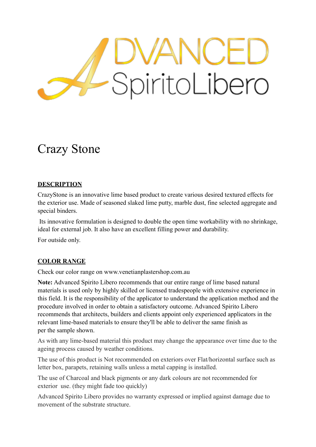# SpiritoLibero

# Crazy Stone

# **DESCRIPTION**

CrazyStone is an innovative lime based product to create various desired textured effects for the exterior use. Made of seasoned slaked lime putty, marble dust, fine selected aggregate and special binders.

 Its innovative formulation is designed to double the open time workability with no shrinkage, ideal for external job. It also have an excellent filling power and durability.

For outside only.

# **COLOR RANGE**

Check our color range on www.venetianplastershop.com.au

**Note:** Advanced Spirito Libero recommends that our entire range of lime based natural materials is used only by highly skilled or licensed tradespeople with extensive experience in this field. It is the responsibility of the applicator to understand the application method and the procedure involved in order to obtain a satisfactory outcome. Advanced Spirito Libero recommends that architects, builders and clients appoint only experienced applicators in the relevant lime-based materials to ensure they'll be able to deliver the same finish as per the sample shown.

As with any lime-based material this product may change the appearance over time due to the ageing process caused by weather conditions.

The use of this product is Not recommended on exteriors over Flat/horizontal surface such as letter box, parapets, retaining walls unless a metal capping is installed.

The use of Charcoal and black pigments or any dark colours are not recommended for exterior use. (they might fade too quickly)

Advanced Spirito Libero provides no warranty expressed or implied against damage due to movement of the substrate structure.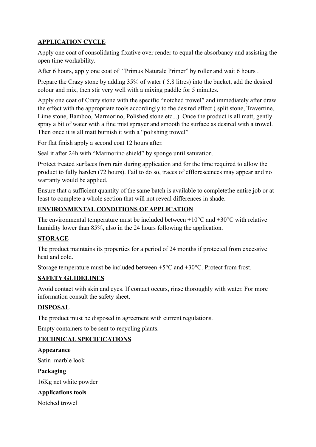# **APPLICATION CYCLE**

Apply one coat of consolidating fixative over render to equal the absorbancy and assisting the open time workability.

After 6 hours, apply one coat of "Primus Naturale Primer" by roller and wait 6 hours .

Prepare the Crazy stone by adding 35% of water ( 5.8 litres) into the bucket, add the desired colour and mix, then stir very well with a mixing paddle for 5 minutes.

Apply one coat of Crazy stone with the specific "notched trowel" and immediately after draw the effect with the appropriate tools accordingly to the desired effect ( split stone, Travertine, Lime stone, Bamboo, Marmorino, Polished stone etc...). Once the product is all matt, gently spray a bit of water with a fine mist sprayer and smooth the surface as desired with a trowel. Then once it is all matt burnish it with a "polishing trowel"

For flat finish apply a second coat 12 hours after.

Seal it after 24h with "Marmorino shield" by sponge until saturation.

Protect treated surfaces from rain during application and for the time required to allow the product to fully harden (72 hours). Fail to do so, traces of efflorescences may appear and no warranty would be applied.

Ensure that a sufficient quantity of the same batch is available to completethe entire job or at least to complete a whole section that will not reveal differences in shade.

# **ENVIRONMENTAL CONDITIONS OF APPLICATION**

The environmental temperature must be included between  $+10^{\circ}$ C and  $+30^{\circ}$ C with relative humidity lower than 85%, also in the 24 hours following the application.

# **STORAGE**

The product maintains its properties for a period of 24 months if protected from excessive heat and cold.

Storage temperature must be included between +5°C and +30°C. Protect from frost.

# **SAFETY GUIDELINES**

Avoid contact with skin and eyes. If contact occurs, rinse thoroughly with water. For more information consult the safety sheet.

# **DISPOSAL**

The product must be disposed in agreement with current regulations.

Empty containers to be sent to recycling plants.

# **TECHNICAL SPECIFICATIONS**

# **Appearance**

Satin marble look

**Packaging** 

16Kg net white powder

# **Applications tools**

Notched trowel